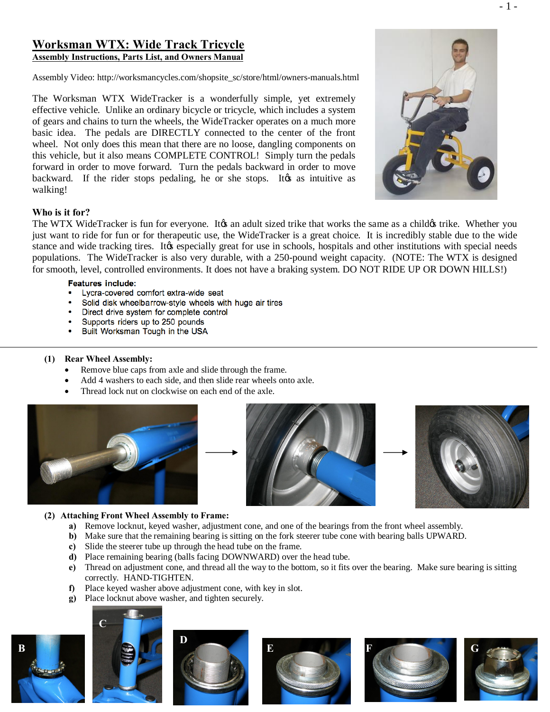# **Worksman WTX: Wide Track Tricycle Assembly Instructions, Parts List, and Owners Manual**

Assembly Video: http://worksmancycles.com/shopsite\_sc/store/html/owners-manuals.html

The Worksman WTX WideTracker is a wonderfully simple, yet extremely effective vehicle. Unlike an ordinary bicycle or tricycle, which includes a system of gears and chains to turn the wheels, the WideTracker operates on a much more basic idea. The pedals are DIRECTLY connected to the center of the front wheel. Not only does this mean that there are no loose, dangling components on this vehicle, but it also means COMPLETE CONTROL! Simply turn the pedals forward in order to move forward. Turn the pedals backward in order to move backward. If the rider stops pedaling, he or she stops. It as intuitive as walking!



## **Who is it for?**

The WTX WideTracker is fun for everyone. It to an adult sized trike that works the same as a child trike. Whether you just want to ride for fun or for therapeutic use, the WideTracker is a great choice. It is incredibly stable due to the wide stance and wide tracking tires. It ts especially great for use in schools, hospitals and other institutions with special needs populations. The WideTracker is also very durable, with a 250-pound weight capacity. (NOTE: The WTX is designed for smooth, level, controlled environments. It does not have a braking system. DO NOT RIDE UP OR DOWN HILLS!)

## **Features include:**

- Lycra-covered comfort extra-wide seat
- Solid disk wheelbarrow-style wheels with huge air tires
- Direct drive system for complete control
- Supports riders up to 250 pounds
- Built Worksman Tough in the USA

## **(1) Rear Wheel Assembly:**

- Remove blue caps from axle and slide through the frame.
- Add 4 washers to each side, and then slide rear wheels onto axle.
- Thread lock nut on clockwise on each end of the axle.







## **(2) Attaching Front Wheel Assembly to Frame:**

- **a)** Remove locknut, keyed washer, adjustment cone, and one of the bearings from the front wheel assembly.
- **b)** Make sure that the remaining bearing is sitting on the fork steerer tube cone with bearing balls UPWARD.
- **c)** Slide the steerer tube up through the head tube on the frame.
- **d)** Place remaining bearing (balls facing DOWNWARD) over the head tube.
- **e)** Thread on adjustment cone, and thread all the way to the bottom, so it fits over the bearing. Make sure bearing is sitting correctly. HAND-TIGHTEN.
- **f)** Place keyed washer above adjustment cone, with key in slot.
- **g)** Place locknut above washer, and tighten securely.